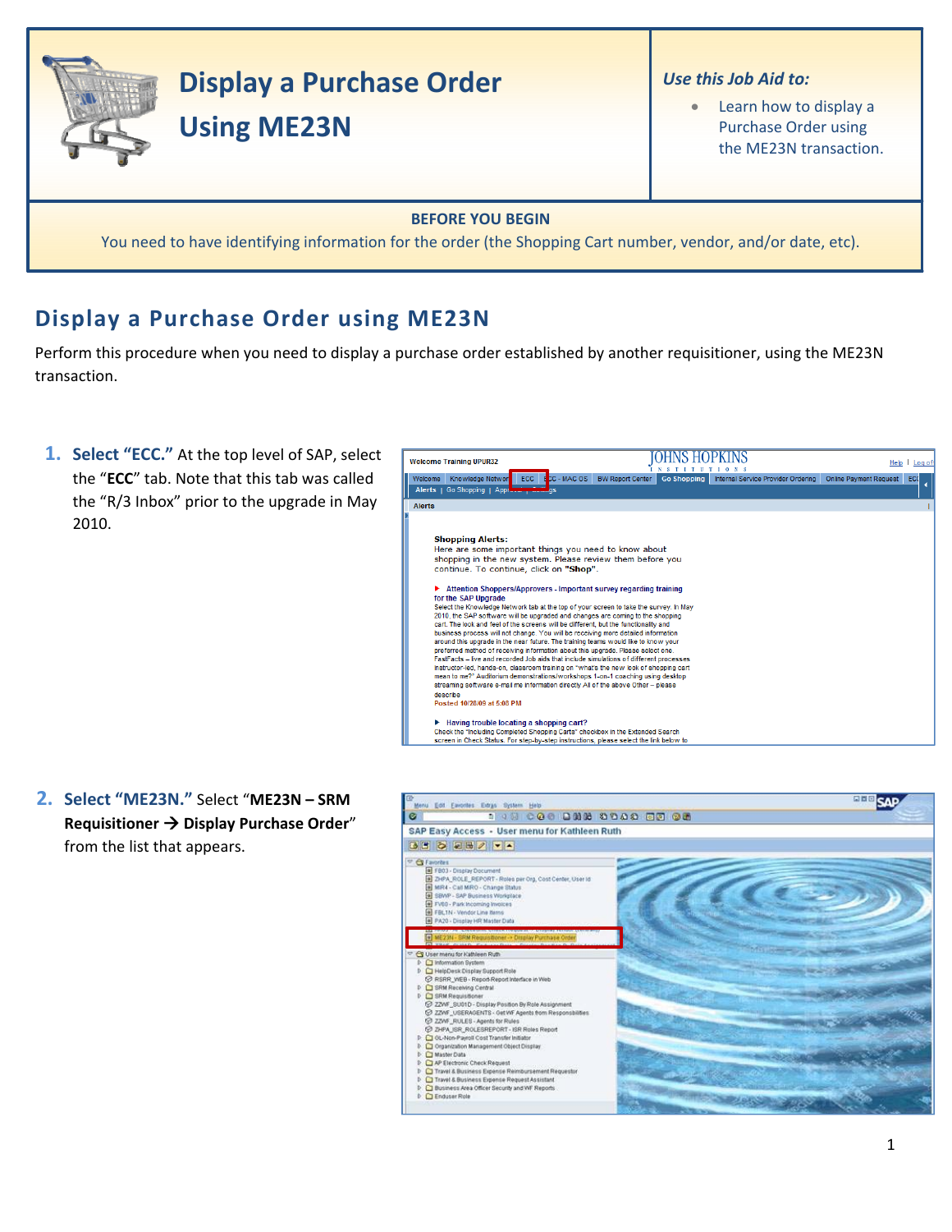

## **Display a Purchase Order using ME23N**

Perform this procedure when you need to display a purchase order established by another requisitioner, using the ME23N transaction.

- **1. Select "ECC."** At the top level of SAP, select the "**ECC**" tab. Note that this tab was called the "R/3 Inbox" prior to the upgrade in May 2010.
- **JOHNS HOPKINS Welcome Training UPUR32** Help | Log of Welcome Training UPUR32<br>Welcome Knowledge Network ECC | ECC | MAC OS | BW Report Center | Go Shopping | Internal Service Provider Ordering | Online Payment Request | ECC<br>| Alerts | Go Shopping | Applemant Payment Request | Alerts **Shopping Alerts:** Supplying Alcal to know about<br>there are some important things you need to know about<br>shopping in the new system. Please review them before you<br>continue. To continue, click on "Shop". Attention Shoppers/Approvers - Important survey regarding training for the SAP Upgrade for the SAP Upgrade<br>Select the Knowledge Network tab at the top of your screen to take the survey. In May<br>2010, the SAP software will be upgraded and changes are coming to the shopping<br>cart. The look and ded of the screens preferred method of receiving information about this upgrade. Please select one. FastFacts - live and recorded Job aids that include simulations of different processes The Institution-led, hands-on, classroom training on "what's the new look of shopping cart<br>mean to me?" Auditorium demonstrations/workshops 1-on-1 coaching using desktop<br>streaming software e-mail me information directly Al describe<br>Posted 10/28/09 at 5:08 PM Having trouble locating a shopping cart?<br>Check the "Including Completed Shopping Carts" checkbox in the Extended Search<br>screen in Check Status. For step-by-step instructions, please select the link below to
- **2. Select "ME23N."** Select "**ME23N – SRM Requisitioner → Display Purchase Order<sup>"</sup>** from the list that appears.

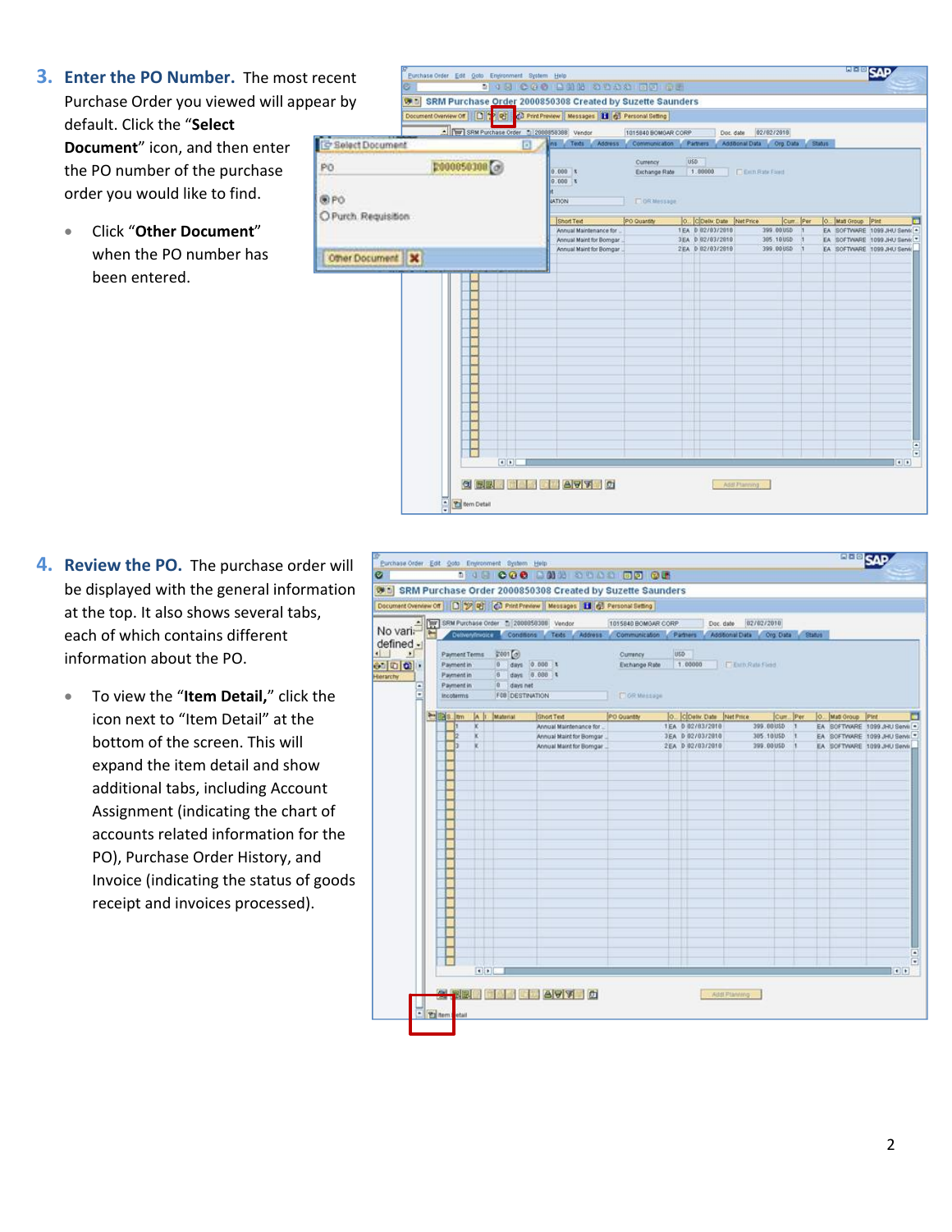- **3. Enter the PO Number.** The most Purchase Order you viewed will app default. Click the "**Select Document**" icon, and then enter the PO number of the purchase order you would like to find.
	- Click "**Other Document**" when the PO number has been entered.

| recent                    | Purchase Order Edit Ooto Environment System Help                              | <b>2 18 000 200 3000 100 00</b>                    |                     |     |                                                |                     |                                 |              |                    | <b>SHARE SALLY</b>                                          |
|---------------------------|-------------------------------------------------------------------------------|----------------------------------------------------|---------------------|-----|------------------------------------------------|---------------------|---------------------------------|--------------|--------------------|-------------------------------------------------------------|
| oear by                   | SRM Purchase Order 2000850308 Created by Suzette Saunders                     |                                                    |                     |     |                                                |                     |                                 |              |                    |                                                             |
|                           | Document Overview Off 2 2 2 2 Print Preview   Messages   1 2 Personal Setting |                                                    |                     |     |                                                |                     |                                 |              |                    |                                                             |
|                           | - Tur SRM Purchase Order 1 2008858388 Vendor                                  |                                                    | 1015940 BOMGAR CORP |     | Doc. date                                      |                     | 02/02/2019                      |              |                    |                                                             |
| <b>To Select Document</b> | $\Box$                                                                        | ns Texts Address                                   | Communication       |     | <b>Partners</b>                                |                     | Additional Data Crg Data Status |              |                    |                                                             |
| PO                        | $2000050100$ $\odot$                                                          |                                                    | Currency            | USD |                                                |                     |                                 |              |                    |                                                             |
|                           |                                                                               | 0.000 x<br>0.000 x                                 | Eichange Rate       |     | 1.00000                                        | <b>CERTRANETIEN</b> |                                 |              |                    |                                                             |
| ®PO                       |                                                                               | <b>JATION</b>                                      | <b>TIOR Message</b> |     |                                                |                     |                                 |              |                    |                                                             |
| O Purch. Requisition      |                                                                               |                                                    |                     |     |                                                |                     |                                 |              |                    |                                                             |
|                           |                                                                               | <b>Short Text</b><br>Annual Maintenance for        | PO Quantity         |     | O., CDeliv: Date Net Price<br>1EA 0 02/03/2010 |                     | Curr. Per<br>399.00USD          | $\mathbf{u}$ | O. Matl Group Pint | ш<br>EA SOFTWARE 1099 JHU Servic                            |
|                           |                                                                               | Annual Maint for Bomgar<br>Annual Maint for Bomgar |                     |     | 3EA 0 02/03/2010<br>2EA 0 02/03/2010           |                     | 385.10USD<br>399.00USD          |              |                    | EA SOFTWARE 1099JHU Service<br>EA SOFTWARE 1099 JHU Service |
| Other Document            |                                                                               |                                                    |                     |     |                                                |                     |                                 |              |                    |                                                             |
|                           |                                                                               |                                                    |                     |     |                                                |                     |                                 |              |                    |                                                             |

- **4. Review the PO.** The purchase order will be displayed with the general information at the top. It also shows several tabs, each of which contains different information about the PO.
	- To view the "**Item Detail,**" click the icon next to "Item Detail" at the bottom of the screen. This will expand the item detail and show additional tabs, including Account Assignment (indicating the chart of accounts related information for the PO), Purchase Order History, and Invoice (indicating the status of goods receipt and invoices processed).

|                |                  |                        |                                  | No variation of the Purchase Order (b) 2008050308 Vendor                                    | 1015840 BOMGAR CORP. |                  | 02/02/2010<br>Doc. date   |               |                   |                               |
|----------------|------------------|------------------------|----------------------------------|---------------------------------------------------------------------------------------------|----------------------|------------------|---------------------------|---------------|-------------------|-------------------------------|
| defined -      |                  |                        |                                  | Occasion out Conditions Teds Address Communication Partners Additional Data Org Data Status |                      |                  |                           |               |                   |                               |
|                |                  | Payment Terms          | 2001(0)                          |                                                                                             | Currency             | <b>USD</b>       |                           |               |                   |                               |
| 0000           | Payment in       |                        |                                  | $0$ days $0.600$ t                                                                          | Exchange Rate        | 1.00000          | <b>I Extra Rate Food</b>  |               |                   |                               |
|                | Payment in       |                        |                                  | 6 days 8.888 %                                                                              |                      |                  |                           |               |                   |                               |
| $\ddot{\cdot}$ | Payment in       |                        | 0 days net                       | <b>F08 DESTINATION</b>                                                                      |                      |                  |                           |               |                   |                               |
|                | <b>Incoterms</b> |                        |                                  |                                                                                             | El GR Message        |                  |                           |               |                   |                               |
|                |                  |                        | <b>Millians</b> In A It Motorial | <b>Short Text</b>                                                                           | PO Quantity          |                  | O. COelv. Date  Net Price | Curr. Per.    | O. Mad Group Pint |                               |
|                |                  | ×                      |                                  | Annual Maintenance for                                                                      |                      | TEA 0 02/83/2010 | 399.00USD 1               |               |                   | EA SOFTWARE 1099 JHU Servil . |
|                |                  |                        |                                  | Annual Maint for Borngar                                                                    |                      | JEA 0 02/03/2010 | 305.10USD                 | $\rightarrow$ |                   | EA SOFTWARE 1099 JHU Servis   |
|                |                  |                        |                                  | Annual Maint for Borngar                                                                    |                      | 2EA 0 02/03/2010 | 399.00050 1               |               |                   | EA SOFTWARE 1099 JHU Servis   |
|                |                  |                        |                                  |                                                                                             |                      |                  |                           |               |                   |                               |
|                |                  |                        |                                  |                                                                                             |                      |                  |                           |               |                   |                               |
|                |                  |                        |                                  |                                                                                             |                      |                  |                           |               |                   |                               |
|                |                  |                        |                                  |                                                                                             |                      |                  |                           |               |                   |                               |
|                |                  |                        |                                  |                                                                                             |                      |                  |                           |               |                   |                               |
|                |                  |                        |                                  |                                                                                             |                      |                  |                           |               |                   |                               |
|                |                  |                        |                                  |                                                                                             |                      |                  |                           |               |                   |                               |
|                |                  |                        |                                  |                                                                                             |                      |                  |                           |               |                   |                               |
|                |                  |                        |                                  |                                                                                             |                      |                  |                           |               |                   |                               |
|                |                  |                        |                                  |                                                                                             |                      |                  |                           |               |                   |                               |
|                |                  |                        |                                  |                                                                                             |                      |                  |                           |               |                   |                               |
|                |                  |                        |                                  |                                                                                             |                      |                  |                           |               |                   |                               |
|                |                  |                        |                                  |                                                                                             |                      |                  |                           |               |                   |                               |
|                |                  |                        |                                  |                                                                                             |                      |                  |                           |               |                   |                               |
|                |                  |                        |                                  |                                                                                             |                      |                  |                           |               |                   |                               |
|                |                  |                        |                                  |                                                                                             |                      |                  |                           |               |                   |                               |
|                |                  |                        |                                  |                                                                                             |                      |                  |                           |               |                   |                               |
|                |                  |                        |                                  |                                                                                             |                      |                  |                           |               |                   | ſ.                            |
|                |                  | $\left  \cdot \right $ |                                  |                                                                                             |                      |                  |                           |               |                   | $+$                           |